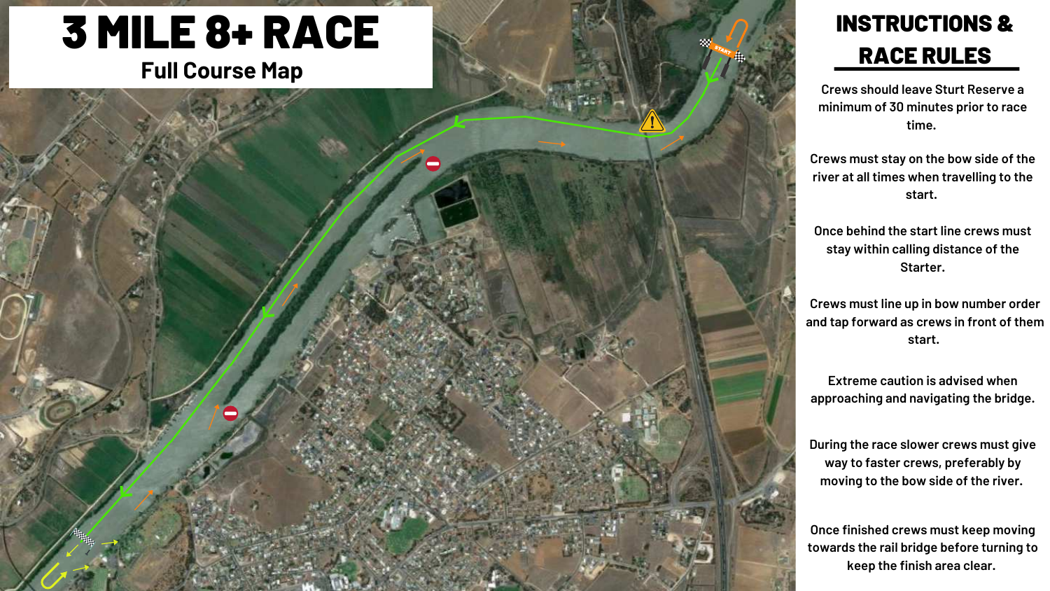## 3 MILE 8+ RACE **Full Course Map**



## INSTRUCTIONS & RACE RULES

**Crews should leave Sturt Reserve a minimum of 30 minutes prior to race time.** 

**Crews must stay on the bow side of the river at all times when travelling to the start.** 

**Once behind the start line crews must stay within calling distance of the Starter.**

**Crews must line up in bow number order and tap forward as crews in front of them start.** 

**Extreme caution is advised when approaching and navigating the bridge.**

**During the race slower crews must give way to faster crews, preferably by moving to the bow side of the river.** 

**Once finished crews must keep moving towards the rail bridge before turning to keep the finish area clear.**